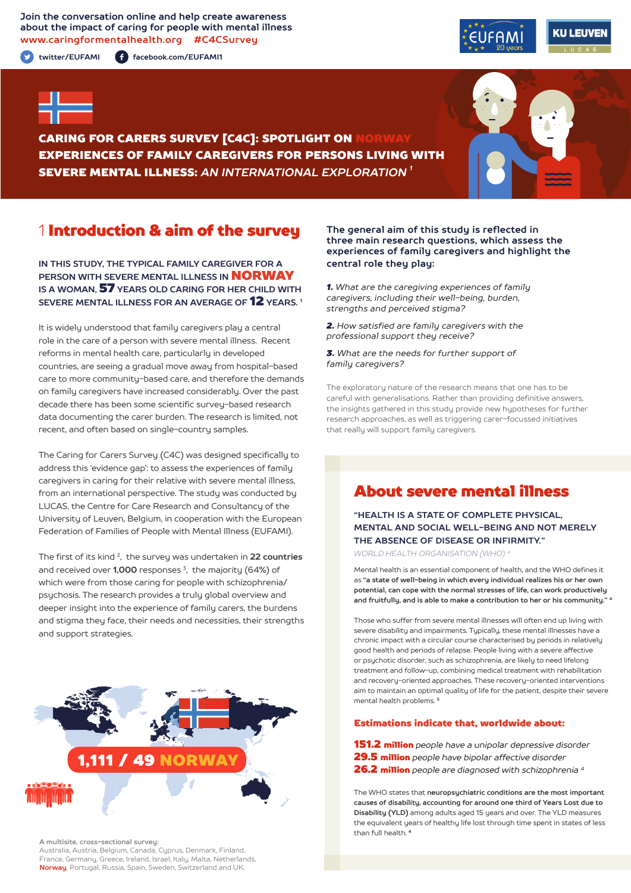**Join the conversation online and help create awareness about the impact of caring for people with mental illness www.caringformentalhealth.org #C4CSurvey**

**twitter/EUFAMI facebook.com/EUFAMI1**





CARING FOR CARERS SURVEY [C4C]: SPOTLIGHT ON NORWAY EXPERIENCES OF FAMILY CAREGIVERS FOR PERSONS LIVING WITH SEVERE MENTAL ILLNESS: *AN INTERNATIONAL EXPLORATION 1*

# 1 Introduction & aim of the survey

**IN THIS STUDY, THE TYPICAL FAMILY CAREGIVER FOR A PERSON WITH SEVERE MENTAL ILLNESS IN** NORWAY **IS A WOMAN,** 57 **YEARS OLD CARING FOR HER CHILD WITH SEVERE MENTAL ILLNESS FOR AN AVERAGE OF** 12 **YEARS. 1**

It is widely understood that family caregivers play a central role in the care of a person with severe mental illness. Recent reforms in mental health care, particularly in developed countries, are seeing a gradual move away from hospital-based care to more community-based care, and therefore the demands on family caregivers have increased considerably. Over the past decade there has been some scientific survey-based research data documenting the carer burden. The research is limited, not recent, and often based on single-country samples.

The Caring for Carers Survey (C4C) was designed specifically to address this 'evidence gap': to assess the experiences of family caregivers in caring for their relative with severe mental illness, from an international perspective. The study was conducted by LUCAS, the Centre for Care Research and Consultancy of the University of Leuven, Belgium, in cooperation with the European Federation of Families of People with Mental Illness (EUFAMI).

The first of its kind 2, the survey was undertaken in **22 countries** and received over **1,000** responses 3, the majority (64%) of which were from those caring for people with schizophrenia/ psychosis. The research provides a truly global overview and deeper insight into the experience of family carers, the burdens and stigma they face, their needs and necessities, their strengths and support strategies.



**A multisite, cross-sectional survey:** 

Australia, Austria, Belgium, Canada, Cyprus, Denmark, Finland, France, Germany, Greece, Ireland, Israel, Italy, Malta, Netherlands, **Norway**, Portugal, Russia, Spain, Sweden, Switzerland and UK.

#### **The general aim of this study is reflected in three main research questions, which assess the experiences of family caregivers and highlight the central role they play:**

*1. What are the caregiving experiences of family caregivers, including their well-being, burden, strengths and perceived stigma?*

*2. How satisfied are family caregivers with the professional support they receive?*

*3. What are the needs for further support of family caregivers?*

The exploratory nature of the research means that one has to be careful with generalisations. Rather than providing definitive answers, the insights gathered in this study provide new hypotheses for further research approaches, as well as triggering carer-focussed initiatives that really will support family caregivers.

# About severe mental illness

**"HEALTH IS A STATE OF COMPLETE PHYSICAL, MENTAL AND SOCIAL WELL-BEING AND NOT MERELY THE ABSENCE OF DISEASE OR INFIRMITY."**

*WORLD HEALTH ORGANISATION (WHO) 4*

Mental health is an essential component of health, and the WHO defines it as **"a state of well-being in which every individual realizes his or her own potential, can cope with the normal stresses of life, can work productively and fruitfully, and is able to make a contribution to her or his community." <sup>4</sup>**

Those who suffer from severe mental illnesses will often end up living with severe disability and impairments. Typically, these mental illnesses have a chronic impact with a circular course characterised by periods in relatively good health and periods of relapse. People living with a severe affective or psychotic disorder, such as schizophrenia, are likely to need lifelong treatment and follow-up, combining medical treatment with rehabilitation and recovery-oriented approaches. These recovery-oriented interventions aim to maintain an optimal quality of life for the patient, despite their severe mental health problems. **<sup>5</sup>**

#### Estimations indicate that, worldwide about:

151.2 million *people have a unipolar depressive disorder* 29.5 million *people have bipolar affective disorder*  26.2 million *people are diagnosed with schizophrenia 4*

The WHO states that **neuropsychiatric conditions are the most important causes of disability, accounting for around one third of Years Lost due to Disability (YLD)** among adults aged 15 years and over. The YLD measures the equivalent years of healthy life lost through time spent in states of less than full health. **<sup>4</sup>**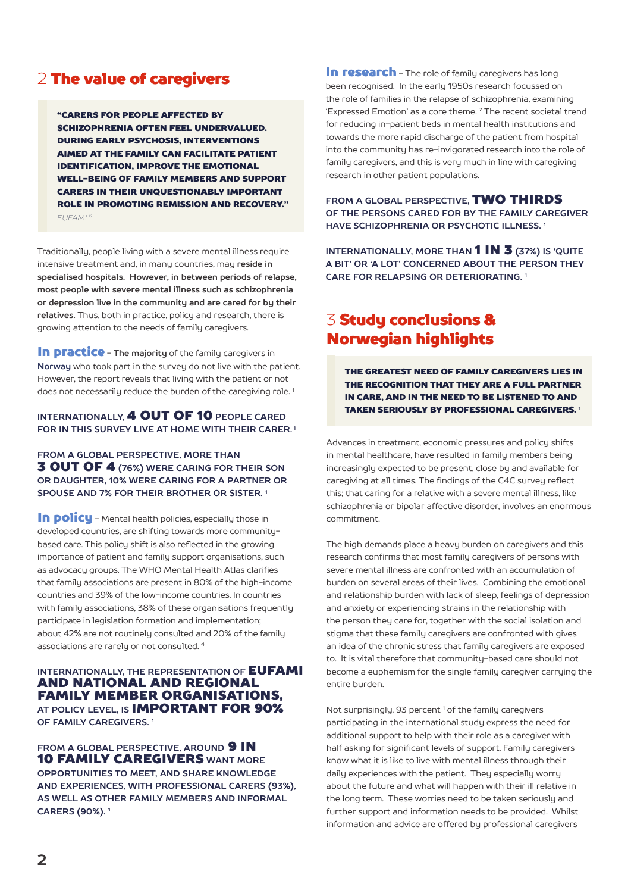# 2 The value of caregivers

"CARERS FOR PEOPLE AFFECTED BY SCHIZOPHRENIA OFTEN FEEL UNDERVALUED. DURING EARLY PSYCHOSIS, INTERVENTIONS AIMED AT THE FAMILY CAN FACILITATE PATIENT IDENTIFICATION, IMPROVE THE EMOTIONAL WELL-BEING OF FAMILY MEMBERS AND SUPPORT CARERS IN THEIR UNQUESTIONABLY IMPORTANT ROLE IN PROMOTING REMISSION AND RECOVERY." *EUFAMI 6*

Traditionally, people living with a severe mental illness require intensive treatment and, in many countries, may **reside in specialised hospitals. However, in between periods of relapse, most people with severe mental illness such as schizophrenia or depression live in the community and are cared for by their relatives.** Thus, both in practice, policy and research, there is growing attention to the needs of family caregivers.

In practice - **The majority** of the family caregivers in **Norway** who took part in the survey do not live with the patient. However, the report reveals that living with the patient or not does not necessarily reduce the burden of the caregiving role.<sup>1</sup>

### **INTERNATIONALLY,** 4 OUT OF 10 **PEOPLE CARED FOR IN THIS SURVEY LIVE AT HOME WITH THEIR CARER. 1**

**FROM A GLOBAL PERSPECTIVE, MORE THAN** 3 OUT OF 4 **(76%) WERE CARING FOR THEIR SON OR DAUGHTER, 10% WERE CARING FOR A PARTNER OR SPOUSE AND 7% FOR THEIR BROTHER OR SISTER. 1**

In policu - Mental health policies, especially those in developed countries, are shifting towards more communitybased care. This policy shift is also reflected in the growing importance of patient and family support organisations, such as advocacy groups. The WHO Mental Health Atlas clarifies that family associations are present in 80% of the high-income countries and 39% of the low-income countries. In countries with family associations, 38% of these organisations frequently participate in legislation formation and implementation; about 42% are not routinely consulted and 20% of the family associations are rarely or not consulted. **<sup>4</sup>**

#### **INTERNATIONALLY, THE REPRESENTATION OF EUFAMI** AND NATIONAL AND REGIONAL FAMILY MEMBER ORGANISATIONS, **AT POLICY LEVEL, IS** IMPORTANT FOR 90% **OF FAMILY CAREGIVERS. 1**

**FROM A GLOBAL PERSPECTIVE. AROUND 9 IN** 10 FAMILY CAREGIVERS **WANT MORE OPPORTUNITIES TO MEET, AND SHARE KNOWLEDGE AND EXPERIENCES, WITH PROFESSIONAL CARERS (93%), AS WELL AS OTHER FAMILY MEMBERS AND INFORMAL CARERS (90%). 1**

In research - The role of family caregivers has long been recognised. In the early 1950s research focussed on the role of families in the relapse of schizophrenia, examining 'Expressed Emotion' as a core theme. **7** The recent societal trend for reducing in-patient beds in mental health institutions and towards the more rapid discharge of the patient from hospital into the community has re-invigorated research into the role of family caregivers, and this is very much in line with caregiving research in other patient populations.

**FROM A GLOBAL PERSPECTIVE,** TWO THIRDS **OF THE PERSONS CARED FOR BY THE FAMILY CAREGIVER HAVE SCHIZOPHRENIA OR PSYCHOTIC ILLNESS. 1**

**INTERNATIONALLY, MORE THAN 1 IN 3 (37%) IS 'QUITE A BIT' OR 'A LOT' CONCERNED ABOUT THE PERSON THEY CARE FOR RELAPSING OR DETERIORATING. 1**

# 3 Study conclusions & Norwegian highlights

THE GREATEST NEED OF FAMILY CAREGIVERS LIES IN THE RECOGNITION THAT THEY ARE A FULL PARTNER IN CARE, AND IN THE NEED TO BE LISTENED TO AND TAKEN SERIOUSLY BY PROFESSIONAL CAREGIVERS. <sup>1</sup>

Advances in treatment, economic pressures and policy shifts in mental healthcare, have resulted in family members being increasingly expected to be present, close by and available for caregiving at all times. The findings of the C4C survey reflect this; that caring for a relative with a severe mental illness, like schizophrenia or bipolar affective disorder, involves an enormous commitment.

The high demands place a heavy burden on caregivers and this research confirms that most family caregivers of persons with severe mental illness are confronted with an accumulation of burden on several areas of their lives. Combining the emotional and relationship burden with lack of sleep, feelings of depression and anxiety or experiencing strains in the relationship with the person they care for, together with the social isolation and stigma that these family caregivers are confronted with gives an idea of the chronic stress that family caregivers are exposed to. It is vital therefore that community-based care should not become a euphemism for the single family caregiver carrying the entire burden.

Not surprisingly, 93 percent<sup>1</sup> of the family caregivers participating in the international study express the need for additional support to help with their role as a caregiver with half asking for significant levels of support. Family caregivers know what it is like to live with mental illness through their daily experiences with the patient. They especially worry about the future and what will happen with their ill relative in the long term. These worries need to be taken seriously and further support and information needs to be provided. Whilst information and advice are offered by professional caregivers